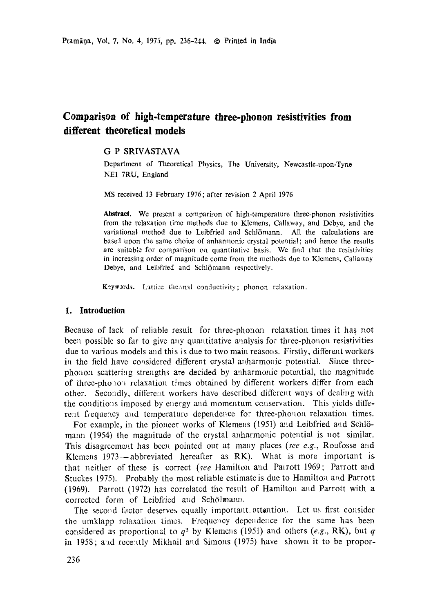# **Comparison of high-temperature three-phonon resistivities from different theoretical models**

# G P SRIVASTAVA

Department of Theoretical Physics, The University, Newcastle-upon-Tyne NE1 7RU, England

MS received 13 February 1976; after revision 2 April 1976

**Abstract.** We present a comparison of high-temperature three-phonon resistivities from the relaxation time methods due to Klemens, Callawoy, and Debye, and the variational method due to Leibfried and Schlömann. All the calculations are based upon the same choice of anharmonic crystal potential; and hence the results are suitable for comparison on quantitative basis. We find that the resistivities in increasing order of magnitude come from the methods due to Klemens, Callaway Debye, and Leibfried and Schlömann respectively.

Keywords. Lattice thermal conductivity; phonon relaxation.

# **1. Introduction**

Because of lack of reliable result for three-phonon relaxation times it has not been possible so far to give any quantitative analysis for three-phonon resistivities due to various models and this is due to two main reasons. Firstly, different workers in the field have considered different crystal anharmonic potential. Since threephonon scattering strengths are decided by anharmonic potential, the magnitude of three-phonon relaxation times obtained by different workers differ from each other. Secondly, different workers have described different ways of dealing with the conditions imposed by energy and momentum conservation. This yields different frequency and temperature dependence for three-phonon relaxation times.

For example, in the pioneer works of Klemens (1951) and Leibfried and Schlömann (1954) the magnitude of the crystal anharmonic potential is not similar. This disagreement has been pointed out at many places *(see e.g., Roufosse and* Klemens 1973--abbreviated hereafter as RK). What is more important is that neither of these is correct (see Hamilton and Patrott 1969; Parrott and Stuckes 1975). Probably the most reliable estimate is due to Hamilton and Parrott (1969). Parrott (1972) has correlated the result of Hamilton and Parrott with a corrected form of Leibfried aud Schölmann.

The second factor deserves equally important attention. Let us first consider the umklapp relaxation times. Frequency dependence for the same has been considered as proportional to  $q^2$  by Klemens (1951) and others (e.g., RK), but  $q$ in 1958; and recently Mikhail and Simons (1975) have shown it to be propor-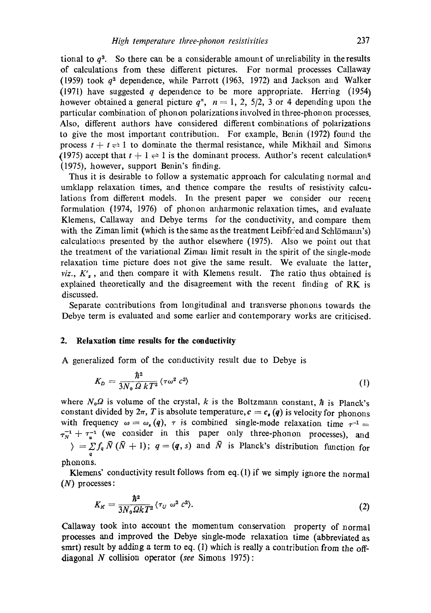tional to  $q<sup>3</sup>$ . So there can be a considerable amount of unreliability in the results of calculations from these different pictures. For normal processes Callaway (1959) took  $q^2$  dependence, while Parrott (1963, 1972) and Jackson and Walker (1971) have suggested q dependence to be more appropriate. Herring (1954) however obtained a general picture  $q^{n}$ ,  $n = 1, 2, 5/2, 3$  or 4 depending upon the particular combination of phonon polarizations involved in three-phonon processes. Also, different authors have considered different combinations of polarizations to give the most important contribution. For example, Benin (1972) found the process  $t + t \rightleftharpoons 1$  to dominate the thermal resistance, while Mikhail and Simons (1975) accept that  $t + 1 \rightleftharpoons 1$  is the dominant process. Author's recent calculations (1975), however, support Benin's finding.

Thus it is desirable to follow a systematic approach for calculating normal and umklapp relaxation times, and thence compare the results of resistivity calculations from different models. In the present paper we consider our recent formulation (1974, 1976) of phonon anharmonic relaxation times, and evaluate Klemens, Callaway and Debye terms for the conductivity, and compare them with the Ziman limit (which is the same as the treatment Leibfried and Schlömann's) calculations presented by the author elsewhere  $(1975)$ . Also we point out that the treatment of the variational Ziman limit result in the spirit of the single-mode relaxation time picture does not give the same result. We evaluate the latter, *viz.,*  $K'_a$ , and then compare it with Klemens result. The ratio thus obtained is explained theoretically and the disagreement with the recent finding of RK is discussed.

Separate contributions from longitudinal and transverse phonons towards the Debye term is evaluated and some earlier and contemporary works are criticised.

# **2. Relaxation time results for the conductivity**

A generalized form of the conductivity result due to Debye is

$$
K_D = \frac{\hbar^2}{3N_0 \Omega k T^2} \langle \tau \omega^2 c^2 \rangle \tag{1}
$$

where  $N_0\Omega$  is volume of the crystal, k is the Boltzmann constant,  $\hbar$  is Planck's constant divided by  $2\pi$ , T is absolute temperature,  $c = c_{\bullet}(q)$  is velocity for phonons with frequency  $\omega = \omega_s(q)$ ,  $\tau$  is combined single-mode relaxation time  $\tau^{-1}$  $\tau_N^{-1} + \tau_u^{-1}$  (we consider in this paper only three-phonon processes), and  $\rangle = \sum f_q \bar{N} (\bar{N} + 1)$ ;  $q = (q, s)$  and  $\bar{N}$  is Planck's distribution function for q phonons.

Klemens' conductivity result follows from eq. (1) if we simply ignore the normal (N) processes:

$$
K_K = \frac{\hbar^2}{3N_0 \Omega k T^2} \langle \tau_U \, \omega^2 \, c^2 \rangle. \tag{2}
$$

Callaway took into account the momentum conservation property of normal processes and improved the Debye single-mode relaxation time (abbreviated as smrt) result by adding a term to eq. (1) which is really a contribution from the offdiagonal N collision operator *(see Simons 1975)*: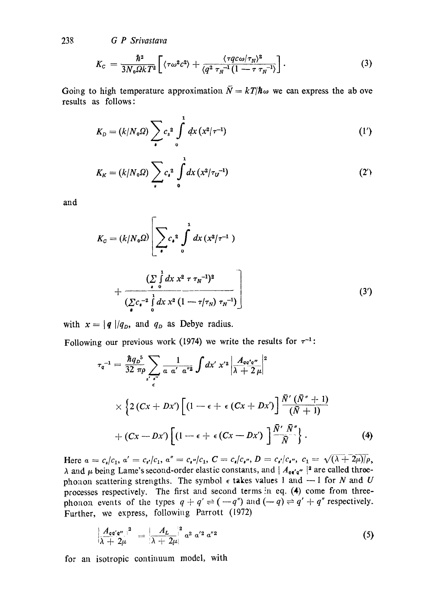238 *G P Srivastava* 

$$
K_{c} = \frac{\hbar^{2}}{3N_{0}\Omega k T^{2}} \left[ \langle \tau \omega^{2} c^{2} \rangle + \frac{\langle \tau q c \omega / \tau_{N} \rangle^{2}}{\langle q^{2} \tau_{N}^{-1} (1 - \tau \tau_{N}^{-1} \rangle} \right]. \tag{3}
$$

Going to high temperature approximation  $\bar{N} = kT/\hbar\omega$  we can express the ab ove results as follows:

$$
K_D = (k/N_0 \Omega) \sum_{\bullet} c_s^2 \int_0^1 dx \, (x^2/\tau^{-1}) \tag{1'}
$$

$$
K_K = (k/N_0 \Omega) \sum_{s} c_s^2 \int_0^1 dx \, (x^2/\tau_U^{-1}) \tag{2'}
$$

and

$$
K_{c} = (k/N_{0}\Omega) \left[ \sum_{\bullet} c_{\bullet}^{2} \int_{0}^{1} dx (x^{2}/\tau^{-1}) + \frac{\left(\sum_{\bullet} \int_{0}^{1} dx x^{2} \tau \tau_{N}^{-1}\right)^{2}}{\left(\sum_{\bullet} c_{\bullet}^{-2} \int_{0}^{1} dx x^{2} (1 - \tau/\tau_{N}) \tau_{N}^{-1}\right)} \right]
$$
(3')

with  $x = |q|/q_D$ , and  $q_D$  as Debye radius.

Following our previous work (1974) we write the results for  $\tau^{-1}$ :

$$
\tau_{q}^{-1} = \frac{\hbar q_{D}^{5}}{32 \pi \rho} \sum_{s' \atop \epsilon} \frac{1}{a \; a' \; a''^{2}} \int dx' \; x'^{2} \left| \frac{A_{qq'q''}}{\lambda + 2 \; \mu} \right|^{2}
$$
\n
$$
\times \left\{ 2 \left( Cx + Dx' \right) \left[ \left( 1 - \epsilon + \epsilon \left( Cx + Dx' \right) \right] \frac{\bar{N}' \left( \bar{N}'' + 1 \right)}{(\bar{N} + 1)} \right. \right.
$$
\n
$$
\left. + \left( Cx - Dx' \right) \left[ \left( 1 - \epsilon + \epsilon \left( Cx - Dx' \right) \right] \frac{\bar{N}' \; \bar{N}''}{\bar{N}} \right\} . \right. \tag{4}
$$

Here  $a = c_s/c_1$ ,  $a' = c_{s'}/c_1$ ,  $a'' = c_{s''}/c_1$ ,  $C = c_s/c_{s''}, D = c_{s'}/c_{s''}, c_1 = \sqrt{(\lambda + 2\mu)/\rho},$  $\lambda$  and  $\mu$  being Lame's second-order elastic constants, and  $| A_{qq'q''}|^2$  are called threephonon scattering strengths. The symbol  $\epsilon$  takes values 1 and  $-1$  for N and U processes respectively. The first and second terms in eq.  $(4)$  come from threephonon events of the types  $q + q' \rightleftharpoons (-q'')$  and  $(-q) \rightleftharpoons q' + q''$  respectively. Further, we express, following Parrott (1972)

$$
\left|\frac{A_{a a' a''}}{\lambda + 2\mu}\right|^2 = \left|\frac{A_L}{\lambda + 2\mu}\right|^2 \alpha^2 \alpha'^2 a''^2 \tag{5}
$$

for an isotropic continuum model, with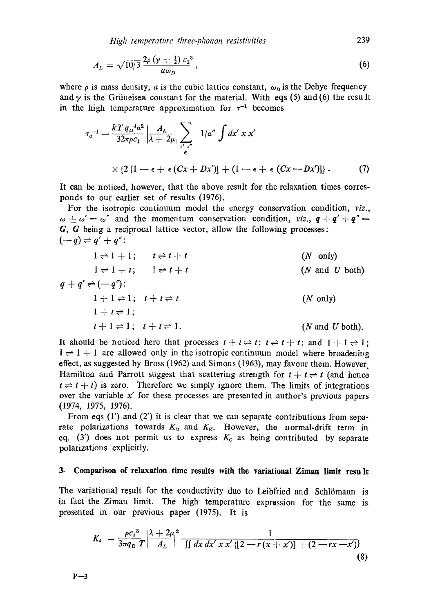*High temperature three-phonon resistivities* 239

$$
A_L = \sqrt{10/3} \frac{2\rho \left(\gamma + \frac{1}{2}\right) c_1^3}{a \omega_D}, \qquad (6)
$$

where  $\rho$  is mass density, a is the cubic lattice constant,  $\omega_D$  is the Debye frequency and  $\gamma$  is the Grüneisen constant for the material. With eqs (5) and (6) the result in the high temperature approximation for  $\tau^{-1}$  becomes

$$
\tau_{q}^{-1} = \frac{kT q_{D}^{4} a^{2}}{32\pi \rho c_{1}} \left| \frac{A_{L}}{\lambda + 2\mu} \right| \sum_{\substack{s' = s' \\ \epsilon}} 1/\alpha'' \int dx' \ x \ x'
$$
  
 
$$
\times \left\{ 2\left[1 - \epsilon + \epsilon \left( Cx + Dx' \right) \right] + \left(1 - \epsilon + \epsilon \left( Cx - Dx' \right) \right] \right\}.
$$
 (7)

It can be noticed, however, that the above result for the relaxation times corresponds to our earlier set of results (1976).

For the isotropic continuum model the energy conservation condition, *viz.,*   $\omega \pm \omega' = \omega''$  and the momentum conservation condition, *viz.*,  $q + q' + q'' =$  $G, G$  being a reciprocal lattice vector, allow the following processes:  $(-q) \rightleftharpoons q' + q''$ :

$$
1 \rightleftharpoons 1 + 1; \t t \rightleftharpoons t + t \t (N \text{ only})
$$
  
\n
$$
1 \rightleftharpoons 1 + t; \t 1 \rightleftharpoons t + t \t (N \text{ only})
$$
  
\n
$$
q + q' \rightleftharpoons (-q''):
$$
  
\n
$$
1 + 1 \rightleftharpoons 1; \t t + t \rightleftharpoons t \t (N \text{ only})
$$
  
\n
$$
1 + t \rightleftharpoons 1; \t t + t \rightleftharpoons 1.
$$
  
\n
$$
(N \text{ only})
$$
  
\n
$$
1 + t \rightleftharpoons 1; \t t + t \rightleftharpoons 1.
$$
  
\n
$$
(N \text{ and } U \text{ both}).
$$

It should be noticed here that processes  $t + t \rightleftharpoons t$ ;  $t \rightleftharpoons t + t$ ; and  $1 + 1 \rightleftharpoons 1$ ;  $1 \rightleftharpoons 1 + 1$  are allowed only in the isotropic continuum model where broadening effect, as suggested by Bross (1962) and Simons (1963), may favour them. However, Hamilton and Parrott suggest that scattering strength for  $t + t \rightleftharpoons t$  (and hence  $t \rightleftharpoons t + t$ ) is zero. Therefore we simply ignore them. The limits of integrations over the variable  $x'$  for these processes are presented in author's previous papers (1974, 1975, 1976).

From eqs  $(1')$  and  $(2')$  it is clear that we can separate contributions from separate polarizations towards  $K<sub>D</sub>$  and  $K<sub>K</sub>$ . However, the normal-drift term in eq. (3') does not permit us to express  $K_c$  as being contributed by separate polarizations explicitly.

# **3. Comparison of relaxation time results with the variational Ziman limit resa It**

The variational result for the conductivity due to Leibfried and Schlömann is in fact the Ziman limit. The high temperature expression for the same is presented in our previous paper (1975). It is

$$
K_{\nu} = \frac{\rho c_1^3}{3\pi q_D T} \left| \frac{\lambda + 2\mu^2}{A_L} \right|^2 \frac{1}{\iint dx dx' \cdot x' \cdot \{ [2 - r(x + x')] + (2 - rx - x' ) \}}\tag{8}
$$

 $P - 3$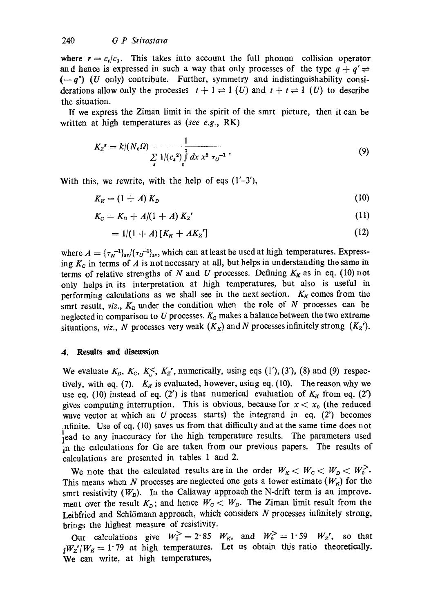where  $r = c_t/c_1$ . This takes into account the full phonon collision operator and hence is expressed in such a way that only processes of the type  $q + q' \rightleftharpoons$  $(-q<sup>n</sup>)$  (U only) contribute. Further, symmetry and indistinguishability considerations allow only the processes  $t + 1 \rightleftharpoons 1$  (U) and  $t + t \rightleftharpoons 1$  (U) to describe the situation.

If we express the Ziman limit in the spirit of the smrt picture, then it can be written at high temperatures as *(see e.g.,* RK)

$$
K_Z' = k/(N_0 \Omega) \frac{1}{\sum_{\mathbf{z}} 1/(c_{\mathbf{z}}^2)} \frac{1}{\int_{0}^{1} dx \, x^2 \, \tau_U^{-1}} \,. \tag{9}
$$

With this, we rewrite, with the help of eqs  $(1'-3')$ ,

$$
K_K = (1 + A) K_D \tag{10}
$$

$$
K_{c} = K_{D} + A/(1 + A) K_{Z}^{r}
$$
 (11)

$$
= 1/(1 + A)[KK + AKZ'] \t(12)
$$

where  $A = {\{\tau_N^{-1}\}}_{\text{av}}/{\{\tau_U^{-1}\}}_{\text{av}}$ , which can at least be used at high temperatures. Express*ing Kc* in terms of A is not necessary at all, but helps in understanding the same in terms of relative strengths of N and U processes. Defining  $K_K$  as in eq. (10) not only helps in its interpretation at high temperatures, but also is useful in performing calculations as we shall see in the next section.  $K_K$  comes from the smrt result,  $viz, K_D$  under the condition when the role of N processes can be neglected in comparison to U processes.  $K_c$  makes a balance between the two extreme situations, *viz., N* processes very weak  $(K_K)$  and N processes infinitely strong  $(K_Z')$ .

#### **4. Results and discussion**

We evaluate  $K_D$ ,  $K_C$ ,  $K_S$ <sup> $\checkmark$ </sup>,  $K_Z$ <sup> $\checkmark$ </sup>, numerically, using eqs (1'), (3'), (8) and (9) respectively, with eq. (7).  $K_K$  is evaluated, however, using eq. (10). The reason why we use eq. (10) instead of eq. (2') is that numerical evaluation of  $K_K$  from eq. (2') gives computing interruption. This is obvious, because for  $x < x_0$  (the reduced wave vector at which an U process starts) the integrand in eq.  $(2^r)$  becomes .nfinite. Use of eq. (10) saves us from that difficulty and at the same time does not **~** ead to any inaccuracy for the high temperature results. The parameters used in the calculations for Ge are taken from our previous papers. The results of calculations are presented in tables 1 and 2.

We note that the calculated results are in the order  $W_R < W_C < W_D < W_0^{\geq}$ . This means when N processes are neglected one gets a lower estimate  $(W_K)$  for the smrt resistivity  $(W_D)$ . In the Callaway approach the N-drift term is an improvement over the result  $K_{D}$ ; and hence  $W_{C} < W_{D}$ . The Ziman limit result from the Leibfried and Schlömann approach, which considers  $N$  processes infinitely strong, brings the highest measure of resistivity.

Our calculations give  $W_0^> = 2.85$   $W_K$ , and  $W_0^> = 1.59$   $W_Z$ , so that  $iW_z'/W_R = 1.79$  at high temperatures. Let us obtain this ratio theoretically. We can write, at high temperatures,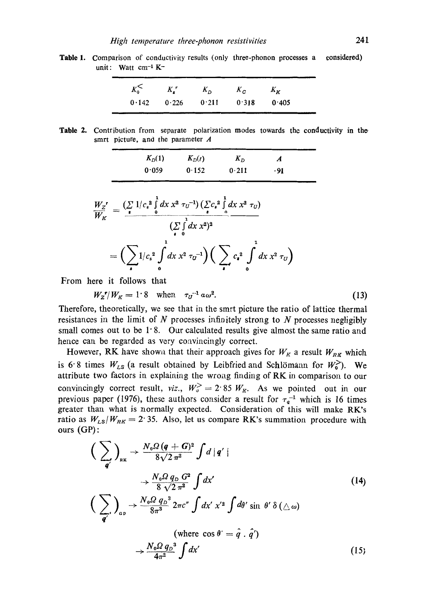**Table 1.**  Comparison of conductivity results (only three-phonon processes a unit: Watt cm<sup>-1</sup> K<sup>-</sup> considered)

| $K_0^<$ | $K_{\bullet}^{\prime}$ | $K_{\Omega}$ | $K_{\rm C}$ | $K_K$ |  |
|---------|------------------------|--------------|-------------|-------|--|
| 0.142   | 0.226                  | 0.211        | 0.318       | 0.405 |  |

Table 2. Contribution from separate polarization modes towards the conductivity in the smrt picture, and the parameter  $A$ 

| $K_D(1)$ | $K_D(t)$ | $K_D$ | A    |  |
|----------|----------|-------|------|--|
| 0.059    | 0.152    | 0.211 | - 91 |  |

$$
\frac{W_Z^r}{W_K} = \frac{\left(\sum\limits_{\mathbf{s}} 1/c_s^2 \int\limits_0^1 dx \, x^2 \, \tau_U^{-1}\right) \left(\sum\limits_{\mathbf{s}} c_s^2 \int\limits_0^1 dx \, x^2 \, \tau_U\right)}{\left(\sum\limits_{\mathbf{s}} \int\limits_0^1 dx \, x^2\right)^2}
$$
\n
$$
= \left(\sum\limits_{\mathbf{s}} 1/c_s^2 \int\limits_0^1 dx \, x^2 \, \tau_U^{-1}\right) \left(\sum\limits_{\mathbf{s}} c_s^2 \int\limits_0^1 dx \, x^2 \, \tau_U\right)
$$

From here it follows that

$$
W_z^{\dagger}/W_{\mathcal{K}} = 1.8 \quad \text{when} \quad \tau_U^{-1} \, a \omega^2. \tag{13}
$$

Therefore, theoretically, we see that in the smrt picture the ratio of lattice thermal resistances in the limit of  $N$  processes infinitely strong to  $N$  processes negligibly small comes out to be  $1.8$ . Our calculated results give almost the same ratio and hence can be regarded as very convincingly correct.

However, RK have shown that their approach gives for  $W_K$  a result  $W_{RR}$  which is 6.8 times  $W_{LS}$  (a result obtained by Leibfried and Schlömann for  $W_0^>$ ). We attribute two factors in explaining the wrong finding of RK in comparison to our convincingly correct result, *viz.*,  $W_0^> = 2.85 W_K$ . As we pointed out in our previous paper (1976), these authors consider a result for  $\tau_a^{-1}$  which is 16 times greater than what is normally expected. Consideration of this will make RK's ratio as  $W_{LS}/W_{RK} = 2.35$ . Also, let us compare RK's summation procedure with ours (GP) :

$$
\left(\sum_{\mathbf{q}'}\right)_{\mathbf{R}\mathbf{K}} \rightarrow \frac{N_{0}\Omega\left(\mathbf{q}+\mathbf{G}\right)^{2}}{8\sqrt{2}\pi^{2}} \int d\left|\mathbf{q}'\right|
$$
\n
$$
\rightarrow \frac{N_{0}\Omega q_{D} G^{2}}{8\sqrt{2}\pi^{2}} \int d\mathbf{x}'
$$
\n
$$
\left(\sum_{\mathbf{q}'}\right)_{\mathbf{q}_{D}} \rightarrow \frac{N_{0}\Omega q_{D}^{3}}{8\pi^{3}} 2\pi c'' \int d\mathbf{x}' \mathbf{x}'^{2} \int d\theta' \sin \theta' \delta\left(\triangle \omega\right)
$$
\n(where  $\cos \theta' = \hat{q} \cdot \hat{q}'$ )

\n
$$
\rightarrow \frac{N_{0}\Omega q_{D}^{3}}{4\pi^{2}} \int d\mathbf{x}'
$$
\n(15)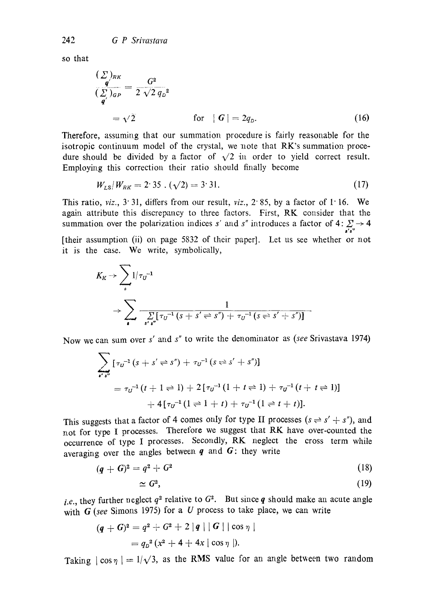so that

$$
\frac{(\sum)_{RK}}{(\sum)_{GP}} = \frac{G^2}{2\sqrt{2} q_D^2}
$$
  
=  $\sqrt{2}$  for  $|G| = 2q_D$ . (16)

Therefore, assuming that our summation procedure is fairly reasonable for the isotropic continuum model of the crystal, we note that RK's summation procedure should be divided by a factor of  $\sqrt{2}$  in order to yield correct result. Employing this correction their ratio should finally become

$$
W_{LS}/W_{RK} = 2.35 \cdot (\sqrt{2}) = 3.31. \tag{17}
$$

This ratio,  $viz.$ ,  $3 \cdot 31$ , differs from our result,  $viz.$ ,  $2 \cdot 85$ , by a factor of 1 16. We again attribute this discrepancy to three factors. First, RK consider that the summation over the polarization indices s' and s'' introduces a factor of  $4: \sum_{s's'} \rightarrow 4$ 

[their assumption (ii) on page 5832 of their paper]. Let us see whether or not it is the case. We write, symbolically,

$$
K_K \to \sum_{s} 1/\tau_{U}^{-1}
$$
  
 
$$
\to \sum_{s} \frac{1}{\sum_{s' \cdot s''} [\tau_{U}^{-1}(s + s' \rightleftharpoons s'') + \tau_{U}^{-1}(s \rightleftharpoons s' + s'')]}
$$

Now we can sum over s' and *s"* to write the denominator as *(see* Srivastava 1974)

$$
\sum_{s' s''} [\tau_{U}^{-1} (s + s' \rightleftharpoons s'') + \tau_{U}^{-1} (s \rightleftharpoons s' + s'')] \n= \tau_{U}^{-1} (t + 1 \rightleftharpoons 1) + 2 [\tau_{U}^{-1} (1 + t \rightleftharpoons 1) + \tau_{U}^{-1} (t + t \rightleftharpoons 1)] \n+ 4 [\tau_{U}^{-1} (1 \rightleftharpoons 1 + t) + \tau_{U}^{-1} (1 \rightleftharpoons t + t)].
$$

This suggests that a factor of 4 comes only for type II processes  $(s \rightleftharpoons s' + s'')$ , and not for type I processes. Therefore we suggest that RK have over-counted the occurrence of type I processes. Secondly, RK neglect the cross term while averaging over the angles between  $q$  and  $G$ : they write

$$
(q + G)^2 = q^2 + G^2 \tag{18}
$$

$$
\simeq G^2,\tag{19}
$$

*i.e.*, they further neglect  $q^2$  relative to  $G^2$ . But since **q** should make an acute angle with *G* (see Simons 1975) for a *U* process to take place, we can write

$$
(q + G)2 = q2 + G2 + 2 |q| |G| | \cos \eta |
$$
  
=  $q_D2 (x2 + 4 + 4x | \cos \eta |).$ 

Taking  $|\cos \eta| = 1/\sqrt{3}$ , as the RMS value for an angle between two random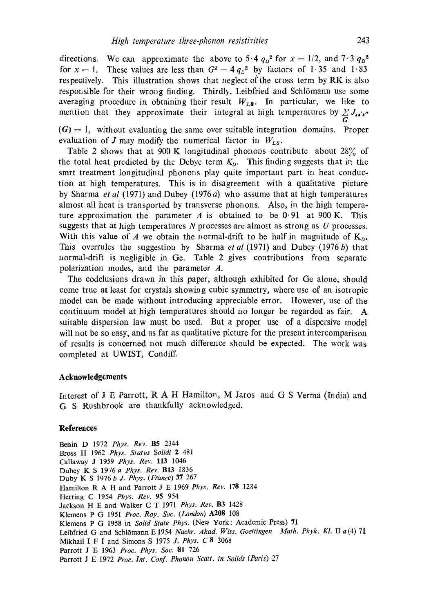directions. We can approximate the above to 5.4  $q_p^2$  for  $x = 1/2$ , and  $7.3 q_p^2$ for  $x = 1$ . These values are less than  $G<sup>2</sup> = 4 q<sub>c</sub><sup>2</sup>$  by factors of 1.35 and 1.83 respectively. This illustration shows that neglect of the cross term by  $RK$  is also responsible for their wrong finding. Thirdly, Leibfried and Schlömann use some averaging procedure in obtaining their result  $W_{L\text{s}}$ . In particular, we like to mention that they approximate their integral at high temperatures by  $\sum J_{\mu\mu\sigma}$ G

 $(G) = 1$ , without evaluating the same over suitable integration domains. Proper evaluation of J may modify the numerical factor in  $W_{LS}$ .

Table 2 shows that at 900 K longitudinal phonons contribute about  $28\%$  of the total heat predicted by the Debye term  $K_D$ . This finding suggests that in the smrt treatment longitudinal phonons play quite important part in heat conduction at high temperatures. This is in disagreement with a qualitative picture by Sharma *et al* (1971) and Dubey (1976*a*) who assume that at high temperatures almost all heat is transported by transverse phonons. Also, in the high temperature approximation the parameter A is obtained to be  $0.91$  at 900 K. This suggests that at high temperatures  $N$  processes are almost as strong as  $U$  processes. With this value of A we obtain the normal-drift to be half in magnitude of  $K_{D}$ . This overrules the suggestion by Sharma *et al* (1971) and Dubey (1976 b) that normal-drift is negligible in Ge. Table 2 gives contributions from separate polarization modes, and the parameter A.

The codclusions drawn in this paper, although exhibited for Ge alone, should come true at least for crystals showing cubic symmetry, where use of an isotropic model can be made without introducing appreciable error. However, use of the continuum model at high temperatures should no longer be regarded as fair. A suitable dispersion law must be used. But a proper use of a dispersive model will not be so easy, and as far as qualitative picture for the present intercomparison of results is concerned not much difference should be expected. The work was completed at UWIST, Condiff.

#### **Acknowledgements**

Interest of  $J$  E Parrott,  $R$  A H Hamilton, M Jaros and  $G$  S Verma (India) and G S Rushbrook are thankfully acknowledged.

### **References**

Benin D 1972 *Phys. Rev.* B5 2344 Bross H 1962 *Phys. Status Solidi* 2 481 Callaway J 1959 *Phys. Rev.* 113 1046 Dubey K S 1976 *a Phys. Rev.* BI3 1836 Duby K S 1076 *b J. Phys. (France)* 37 267 Hamilton R A H and Parrott J E 1969 *Phys. Rev.* 178 1284 Herring C 1954 *Phys. Rev.* 95 954 Jackson H E and Walker C T 1971 *Phys. Rev.* B3 1428 Klemens P G 195I *Proe. Roy. Soc. (London)* A208 t08 Klemens P G 1958 in *Solid State Phys.* (New York: Academic Press) 71 Leibfried G and Schlömann E 1954 *Nachr. Akad. Wiss. Goettingen Math. Phyk. Kl. II a* (4) 71 Mikhail I F I and Simons S 1975 *J. Phys.* C 8 3068 Parrott J E 1963 *Proc. Phys. Soc.* 81 726 Parrott J E 1972 *Proc. Int. Conf. Phonon Scatt. in Solids (Paris)* 27